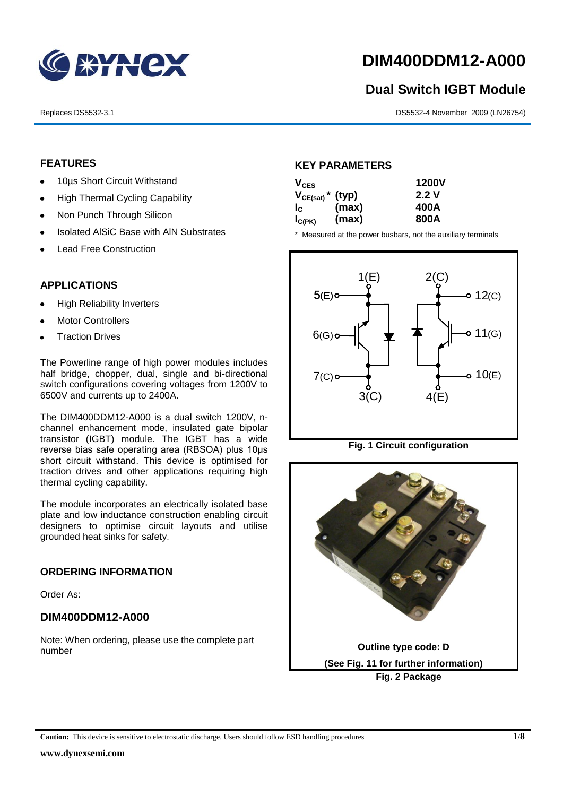

## **DIM400DDM12-A000**

# **Dual Switch IGBT Module** 1<br>1<br>1

Replaces DS5532-3.1 DS5532-4 November 2009 (LN26754)

#### **FEATURES**

- 10µs Short Circuit Withstand
	- High Thermal Cycling Capability  $\bullet$
- Non Punch Through Silicon
	- Isolated AlSiC Base with AlN Substrates  $\bullet$
	- Lead Free Construction

#### **APPLICATIONS**

- High Reliability Inverters
- Motor Controllers
- Traction Drives

The Powerline range of high power modules includes half bridge, chopper, dual, single and bi-directional switch configurations covering voltages from 1200V to 6500V and currents up to 2400A.

The DIM400DDM12-A000 is a dual switch 1200V, nchannel enhancement mode, insulated gate bipolar transistor (IGBT) module. The IGBT has a wide reverse bias safe operating area (RBSOA) plus 10μs short circuit withstand. This device is optimised for traction drives and other applications requiring high thermal cycling capability.

The module incorporates an electrically isolated base plate and low inductance construction enabling circuit designers to optimise circuit layouts and utilise grounded heat sinks for safety.

#### **ORDERING INFORMATION**

Order As:

#### **DIM400DDM12-A000**

Note: When ordering, please use the complete part number

#### **KEY PARAMETERS**

| $V_{CES}$                        |       | <b>1200V</b> |  |
|----------------------------------|-------|--------------|--|
| $V_{CE(sat)}$ <sup>*</sup> (typ) |       | 2.2V         |  |
| $I_{\rm c}$                      | (max) | 400A         |  |
| $I_{C(PK)}$                      | (max) | 800A         |  |

\* Measured at the power busbars, not the auxiliary terminals



**Fig. 1 Circuit configuration**



**Caution:** This device is sensitive to electrostatic discharge. Users should follow ESD handling procedures **1/8**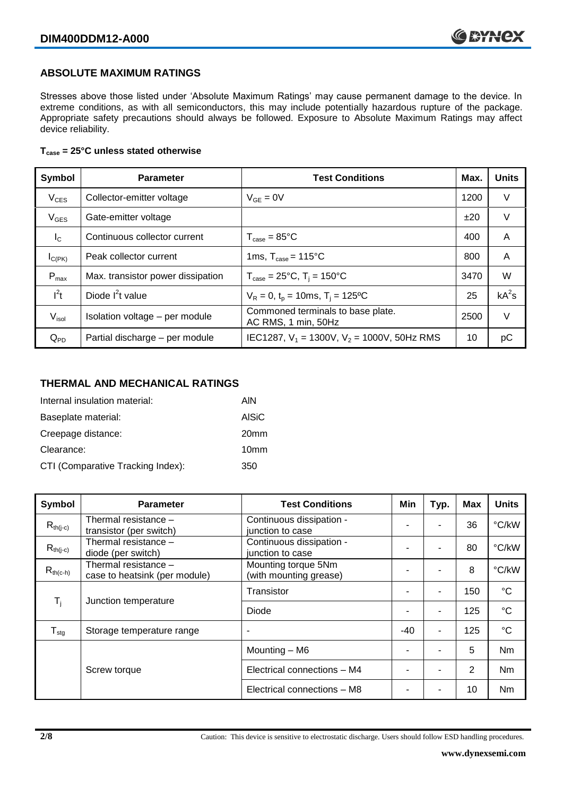#### **ABSOLUTE MAXIMUM RATINGS**

Stresses above those listed under 'Absolute Maximum Ratings' may cause permanent damage to the device. In extreme conditions, as with all semiconductors, this may include potentially hazardous rupture of the package. Appropriate safety precautions should always be followed. Exposure to Absolute Maximum Ratings may affect device reliability.

#### **Tcase = 25°C unless stated otherwise**

| Symbol           | <b>Parameter</b>                  | <b>Test Conditions</b>                                   | Max. | <b>Units</b> |
|------------------|-----------------------------------|----------------------------------------------------------|------|--------------|
| $V_{CES}$        | Collector-emitter voltage         | $V_{GF} = 0V$                                            | 1200 | V            |
| $V_{GES}$        | Gate-emitter voltage              |                                                          | ±20  | $\vee$       |
| $I_{\rm C}$      | Continuous collector current      | $T_{\text{case}} = 85^{\circ}$ C                         | 400  | A            |
| $I_{C(PK)}$      | Peak collector current            | 1ms, $T_{\text{case}} = 115^{\circ}$ C                   | 800  | A            |
| $P_{\text{max}}$ | Max. transistor power dissipation | $T_{\text{case}} = 25^{\circ}C$ , $T_i = 150^{\circ}C$   | 3470 | W            |
| $l^2t$           | Diode $I^2t$ value                | $V_R = 0$ , $t_p = 10$ ms, $T_i = 125$ °C                | 25   | $kA^2s$      |
| $V_{\sf isol}$   | Isolation voltage - per module    | Commoned terminals to base plate.<br>AC RMS, 1 min, 50Hz | 2500 | $\vee$       |
| $Q_{PD}$         | Partial discharge - per module    | IEC1287, $V_1$ = 1300V, $V_2$ = 1000V, 50Hz RMS          | 10   | рC           |

#### **THERMAL AND MECHANICAL RATINGS**

| Internal insulation material:     | AIN              |
|-----------------------------------|------------------|
| Baseplate material:               | <b>AISiC</b>     |
| Creepage distance:                | 20 <sub>mm</sub> |
| Clearance:                        | 10 <sub>mm</sub> |
| CTI (Comparative Tracking Index): | 350              |

| <b>Symbol</b>    | <b>Parameter</b>                                      | <b>Test Conditions</b>                        | Min   | Typ. | <b>Max</b> | <b>Units</b> |
|------------------|-------------------------------------------------------|-----------------------------------------------|-------|------|------------|--------------|
| $R_{th(i-c)}$    | Thermal resistance -<br>transistor (per switch)       | Continuous dissipation -<br>junction to case  |       |      | 36         | °C/kW        |
| $R_{th(j-c)}$    | Thermal resistance -<br>diode (per switch)            | Continuous dissipation -<br>junction to case  |       |      | 80         | °C/kW        |
| $R_{th(c-h)}$    | Thermal resistance -<br>case to heatsink (per module) | Mounting torque 5Nm<br>(with mounting grease) |       |      | 8          | °C/kW        |
| $T_i$            | Junction temperature                                  | Transistor                                    |       | ۰    | 150        | $^{\circ}C$  |
|                  |                                                       | Diode                                         |       | ۰    | 125        | $^{\circ}C$  |
| $T_{\text{stg}}$ | Storage temperature range                             | ٠                                             | $-40$ | ٠    | 125        | $^{\circ}C$  |
|                  |                                                       | Mounting - M6                                 |       |      | 5          | <b>Nm</b>    |
|                  | Screw torque                                          | Electrical connections - M4                   |       |      | 2          | Nm           |
|                  |                                                       | Electrical connections - M8                   |       |      | 10         | <b>Nm</b>    |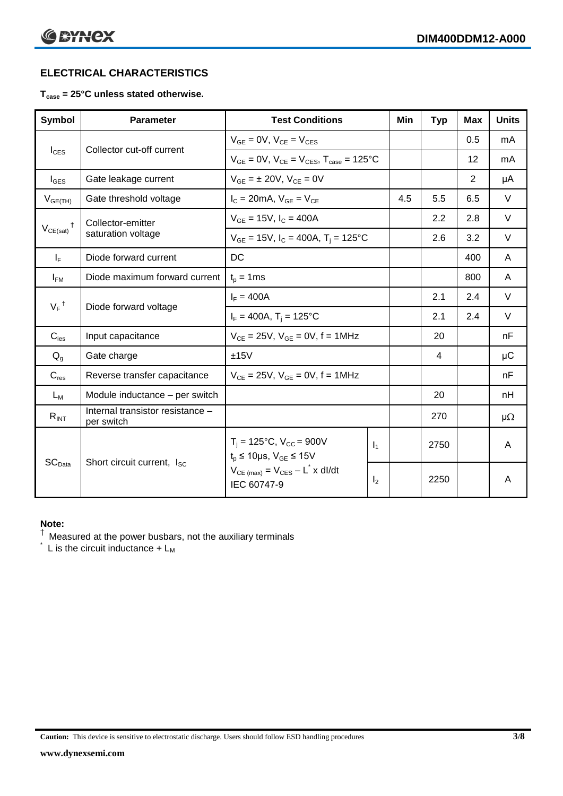### **ELECTRICAL CHARACTERISTICS**

#### **Tcase = 25°C unless stated otherwise.**

| <b>Symbol</b>                 | <b>Parameter</b>                               | <b>Test Conditions</b>                                                    |                | Min | <b>Typ</b> | <b>Max</b> | <b>Units</b> |
|-------------------------------|------------------------------------------------|---------------------------------------------------------------------------|----------------|-----|------------|------------|--------------|
|                               |                                                | $V_{GE} = 0V$ , $V_{CE} = V_{CES}$                                        |                |     |            | 0.5        | mA           |
| $I_{\text{CES}}$              | Collector cut-off current                      | $V_{GE} = 0V$ , $V_{CE} = V_{CES}$ , $T_{case} = 125$ °C                  |                |     |            | 12         | mA           |
| $I_{\text{GES}}$              | Gate leakage current                           | $V_{GE} = \pm 20V$ , $V_{CE} = 0V$                                        |                |     |            | 2          | μA           |
| $V_{GE(TH)}$                  | Gate threshold voltage                         | $I_C = 20mA$ , $V_{GE} = V_{CE}$                                          |                | 4.5 | 5.5        | 6.5        | $\vee$       |
| $^{\dagger}$                  | Collector-emitter                              | $V_{GE} = 15V$ , $I_C = 400A$                                             |                |     | 2.2        | 2.8        | $\vee$       |
| $V_{CE(sat)}$                 | saturation voltage                             | $V_{GE}$ = 15V, $I_C$ = 400A, T <sub>i</sub> = 125°C                      |                |     | 2.6        | 3.2        | $\vee$       |
| $I_F$                         | Diode forward current                          | DC                                                                        |                |     |            | 400        | A            |
| $I_{FM}$                      | Diode maximum forward current                  | $t_p = 1$ ms                                                              |                |     |            | 800        | A            |
| $V_F$ <sup>†</sup>            | Diode forward voltage                          | $I_F = 400A$                                                              |                |     | 2.1        | 2.4        | $\vee$       |
|                               |                                                | $I_F = 400A$ , T <sub>i</sub> = 125°C                                     |                |     | 2.1        | 2.4        | $\vee$       |
| $C_{\text{ies}}$              | Input capacitance                              | $V_{CF} = 25V$ , $V_{GF} = 0V$ , f = 1MHz                                 |                |     | 20         |            | nF           |
| $Q_q$                         | Gate charge                                    | ±15V                                                                      |                |     | 4          |            | $\mu$ C      |
| $C_{res}$                     | Reverse transfer capacitance                   | $V_{CE} = 25V$ , $V_{GE} = 0V$ , f = 1MHz                                 |                |     |            |            | nF           |
| $L_M$                         | Module inductance – per switch                 |                                                                           |                |     | 20         |            | nH           |
| $R_{INT}$                     | Internal transistor resistance -<br>per switch |                                                                           |                |     | 270        |            | $\mu\Omega$  |
| $\mathsf{SC}_{\mathsf{Data}}$ | Short circuit current, I <sub>SC</sub>         | $T_i = 125$ °C, $V_{CC} = 900V$<br>$t_p \le 10 \mu s$ , $V_{GE} \le 15 V$ | $\mathbf{I}_1$ |     | 2750       |            | A            |
|                               |                                                | $V_{CE \text{ (max)}} = V_{CES} - L^* \times dl/dt$<br>IEC 60747-9        | I <sub>2</sub> |     | 2250       |            | A            |

#### **Note:**

 $^{\dagger}$  Measured at the power busbars, not the auxiliary terminals

 $\check{}$  L is the circuit inductance +  $L_M$ 

**Caution:** This device is sensitive to electrostatic discharge. Users should follow ESD handling procedures **3/8**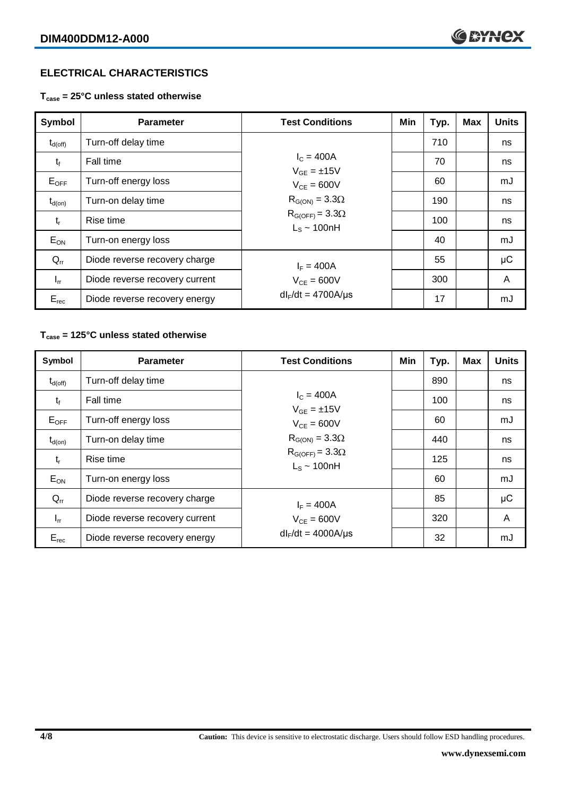### **ELECTRICAL CHARACTERISTICS**

**Tcase = 25°C unless stated otherwise**

| Symbol              | <b>Parameter</b>               | <b>Test Conditions</b>                                                  | Min | Typ. | <b>Max</b> | <b>Units</b> |
|---------------------|--------------------------------|-------------------------------------------------------------------------|-----|------|------------|--------------|
| $t_{d(\text{off})}$ | Turn-off delay time            |                                                                         |     | 710  |            | ns           |
| $t_{f}$             | Fall time                      | $I_{C} = 400A$<br>$V_{GF} = \pm 15V$                                    |     | 70   |            | ns           |
| $E_{OFF}$           | Turn-off energy loss           | $V_{CF} = 600V$                                                         |     | 60   |            | mJ           |
| $t_{d(on)}$         | Turn-on delay time             | $R_{G(ON)} = 3.3\Omega$<br>$R_{G(OFF)} = 3.3\Omega$<br>$L_s \sim 100nH$ |     | 190  |            | ns           |
| $t_{r}$             | Rise time                      |                                                                         |     | 100  |            | ns           |
| $E_{ON}$            | Turn-on energy loss            |                                                                         |     | 40   |            | mJ           |
| $Q_{rr}$            | Diode reverse recovery charge  | $I_F = 400A$<br>$V_{CF} = 600V$                                         |     | 55   |            | $\mu$ C      |
| $I_{rr}$            | Diode reverse recovery current |                                                                         |     | 300  |            | A            |
| $E_{rec}$           | Diode reverse recovery energy  | $dl_F/dt = 4700A/\mu s$                                                 |     | 17   |            | mJ           |

#### **Tcase = 125°C unless stated otherwise**

| Symbol              | <b>Parameter</b>               | <b>Test Conditions</b>                                                                     | Min | Typ. | <b>Max</b> | <b>Units</b> |
|---------------------|--------------------------------|--------------------------------------------------------------------------------------------|-----|------|------------|--------------|
| $t_{d(\text{off})}$ | Turn-off delay time            |                                                                                            |     | 890  |            | ns           |
| $t_{\rm f}$         | Fall time                      | $I_{C} = 400A$<br>$V_{GF} = \pm 15V$                                                       |     | 100  |            | ns           |
| $E_{OFF}$           | Turn-off energy loss           | $V_{CF} = 600V$<br>$R_{G(ON)} = 3.3\Omega$<br>$R_{G(OFF)} = 3.3\Omega$<br>$L_s \sim 100nH$ |     | 60   |            | mJ           |
| $t_{d(on)}$         | Turn-on delay time             |                                                                                            |     | 440  |            | ns           |
| $t_{r}$             | Rise time                      |                                                                                            |     | 125  |            | ns           |
| $E_{ON}$            | Turn-on energy loss            |                                                                                            |     | 60   |            | mJ           |
| $Q_{rr}$            | Diode reverse recovery charge  | $I_F = 400A$<br>$V_{CE} = 600V$                                                            |     | 85   |            | μC           |
| $I_{rr}$            | Diode reverse recovery current |                                                                                            |     | 320  |            | A            |
| $E_{rec}$           | Diode reverse recovery energy  | $dl_F/dt = 4000A/\mu s$                                                                    |     | 32   |            | mJ           |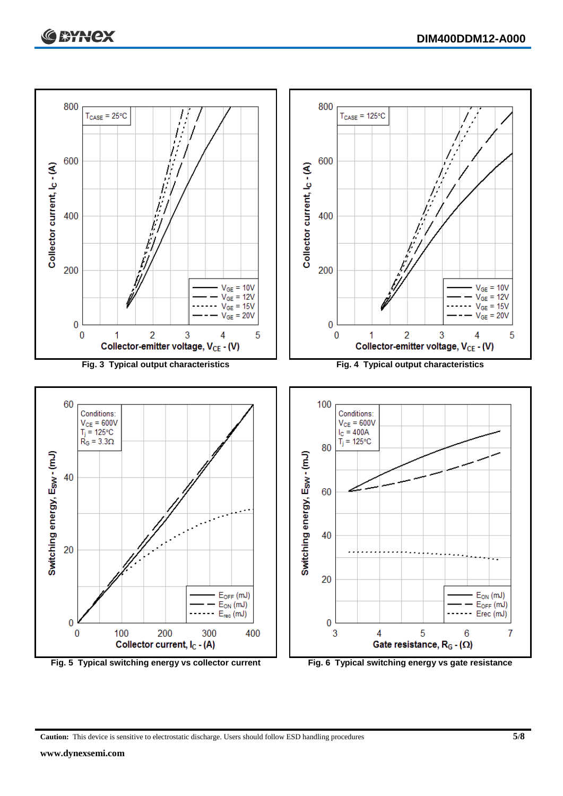

**Caution:** This device is sensitive to electrostatic discharge. Users should follow ESD handling procedures **5/8**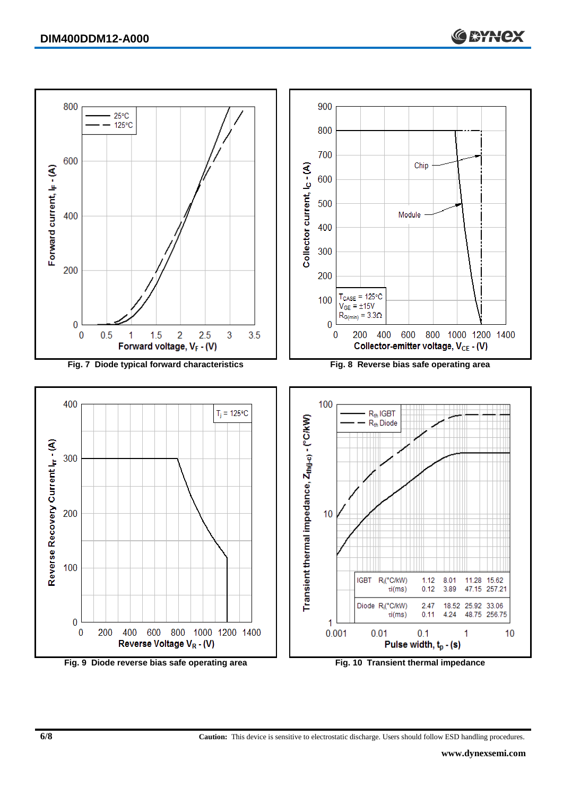

**6/8 Caution:** This device is sensitive to electrostatic discharge. Users should follow ESD handling procedures.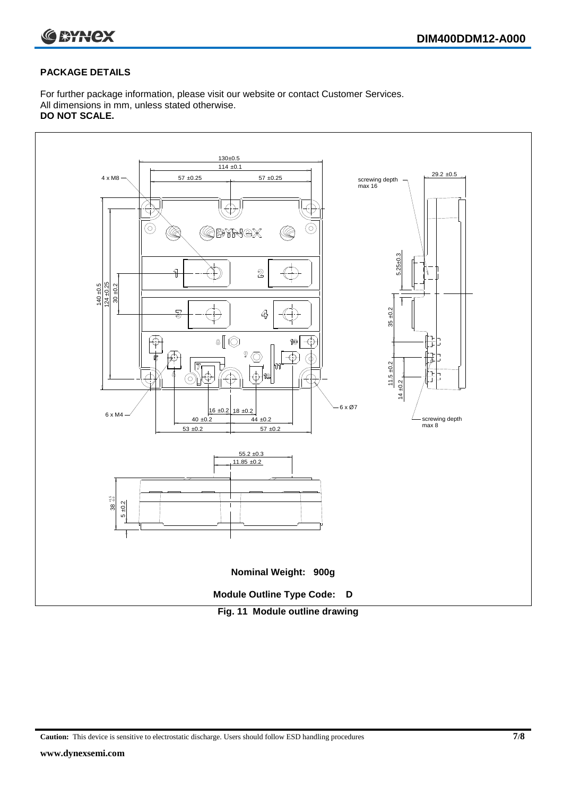

#### **PACKAGE DETAILS**

For further package information, please visit our website or contact Customer Services. All dimensions in mm, unless stated otherwise. **DO NOT SCALE.**



**Caution:** This device is sensitive to electrostatic discharge. Users should follow ESD handling procedures **7/8**